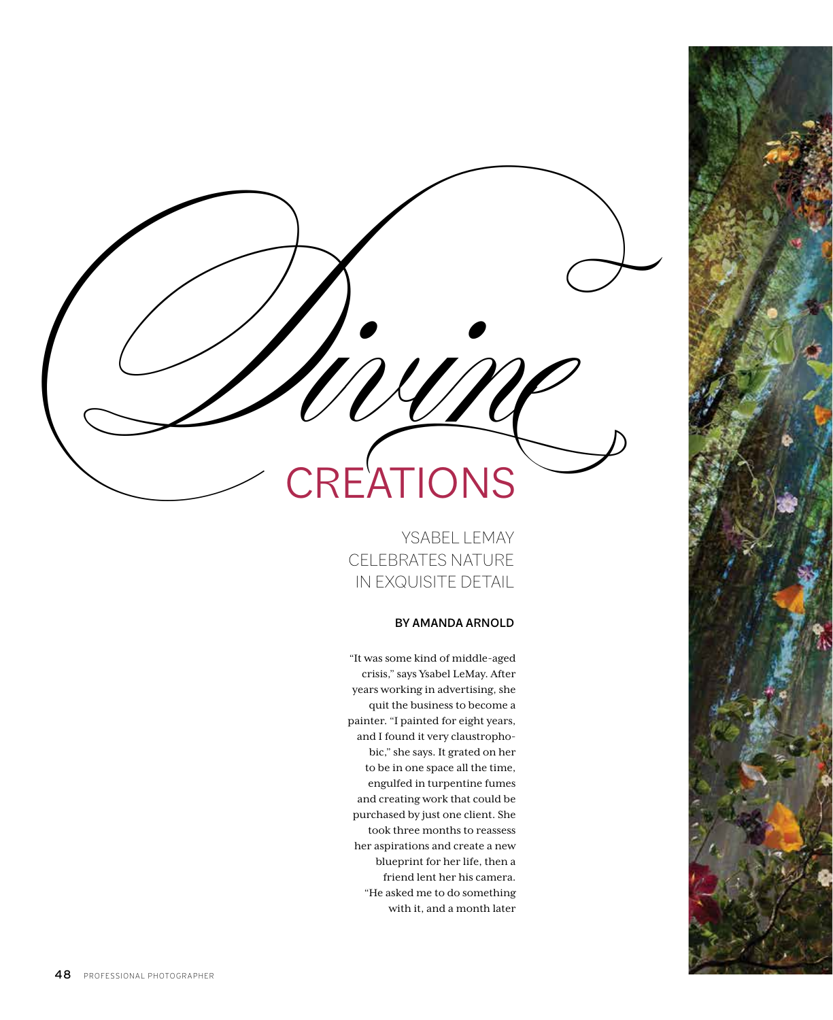# $\partial \mathscr{U}$ il **CREATIONS**

YSABEL LEMAY CELEBRATES NATURE IN EXQUISITE DETAIL

# BY AMANDA ARNOLD

"It was some kind of middle-aged crisis," says Ysabel LeMay. After years working in advertising, she quit the business to become a painter. "I painted for eight years, and I found it very claustrophobic," she says. It grated on her to be in one space all the time, engulfed in turpentine fumes and creating work that could be purchased by just one client. She took three months to reassess her aspirations and create a new blueprint for her life, then a friend lent her his camera. "He asked me to do something with it, and a month later

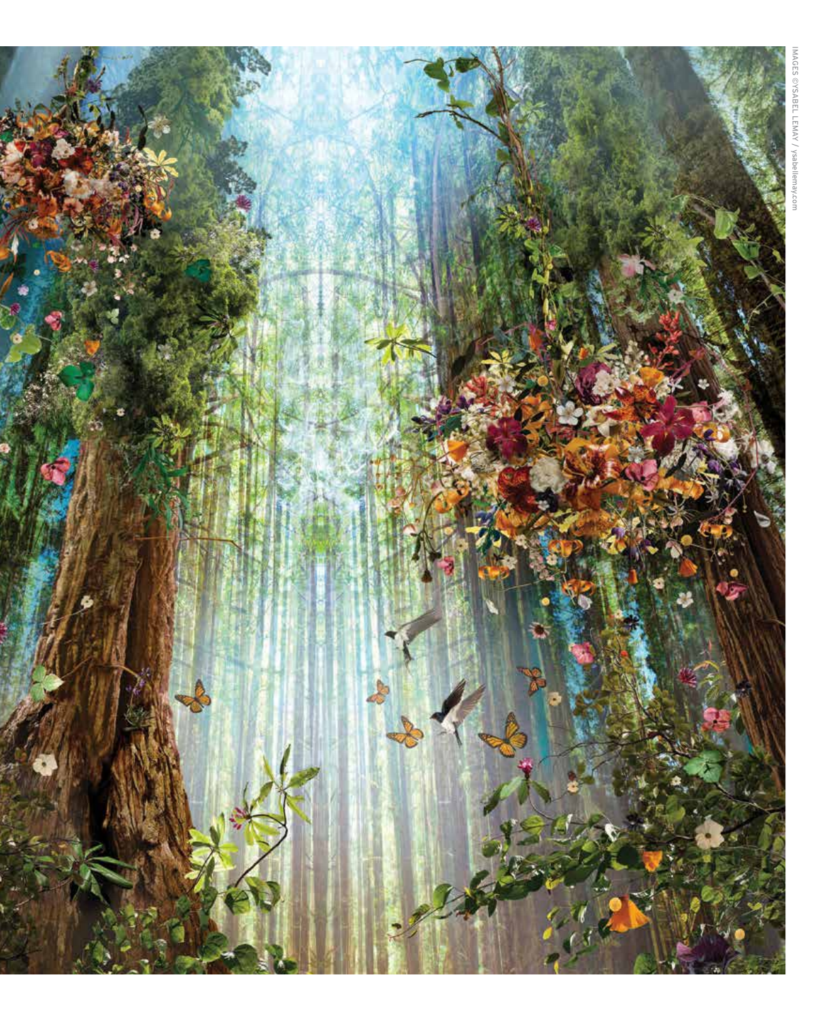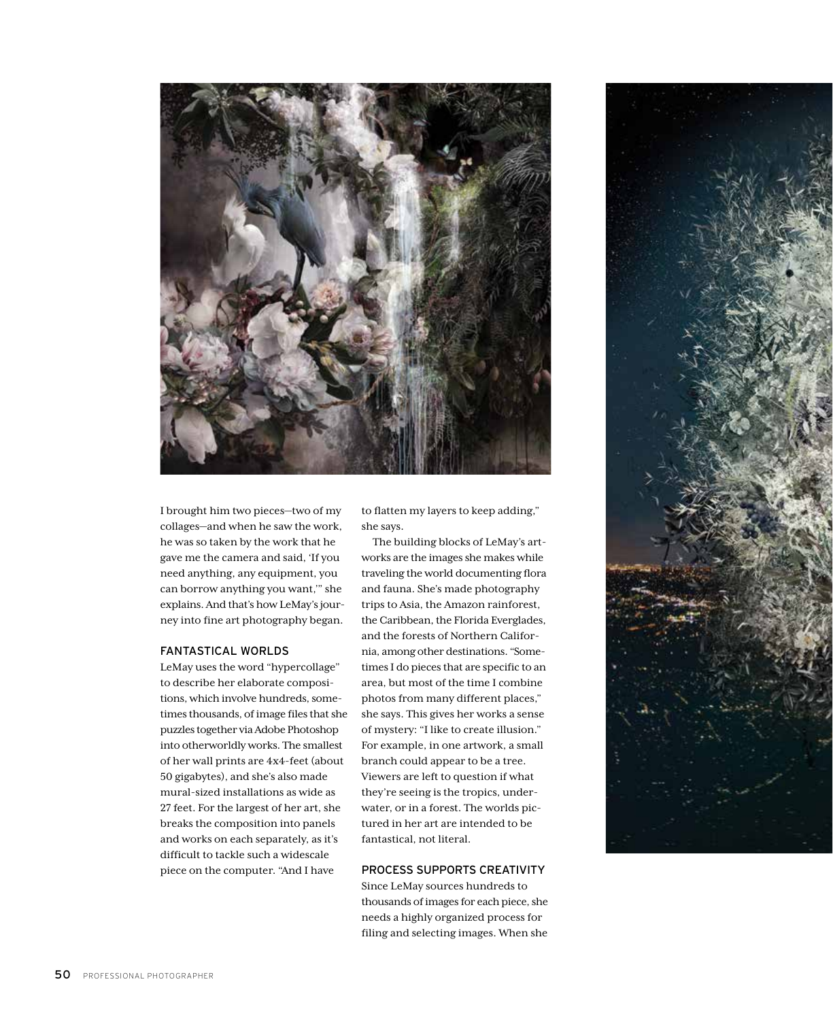

I brought him two pieces—two of my collages—and when he saw the work, he was so taken by the work that he gave me the camera and said, 'If you need anything, any equipment, you can borrow anything you want,'" she explains. And that's how LeMay's journey into fine art photography began.

### FANTASTICAL WORLDS

LeMay uses the word "hypercollage" to describe her elaborate compositions, which involve hundreds, sometimes thousands, of image files that she puzzles together via Adobe Photoshop into otherworldly works. The smallest of her wall prints are 4x4-feet (about 50 gigabytes), and she's also made mural-sized installations as wide as 27 feet. For the largest of her art, she breaks the composition into panels and works on each separately, as it's difficult to tackle such a widescale piece on the computer. "And I have

to flatten my layers to keep adding," she says.

 The building blocks of LeMay's artworks are the images she makes while traveling the world documenting flora and fauna. She's made photography trips to Asia, the Amazon rainforest, the Caribbean, the Florida Everglades, and the forests of Northern California, among other destinations. "Sometimes I do pieces that are specific to an area, but most of the time I combine photos from many different places," she says. This gives her works a sense of mystery: "I like to create illusion." For example, in one artwork, a small branch could appear to be a tree. Viewers are left to question if what they're seeing is the tropics, underwater, or in a forest. The worlds pictured in her art are intended to be fantastical, not literal.

# PROCESS SUPPORTS CREATIVITY

Since LeMay sources hundreds to thousands of images for each piece, she needs a highly organized process for filing and selecting images. When she

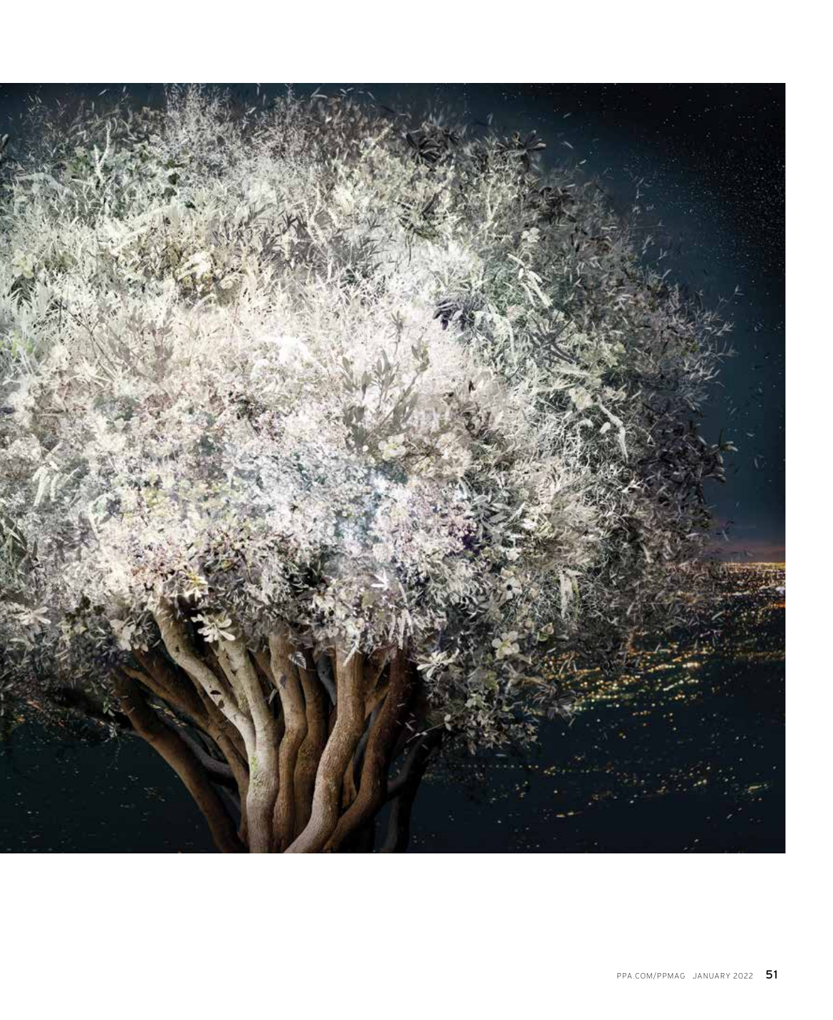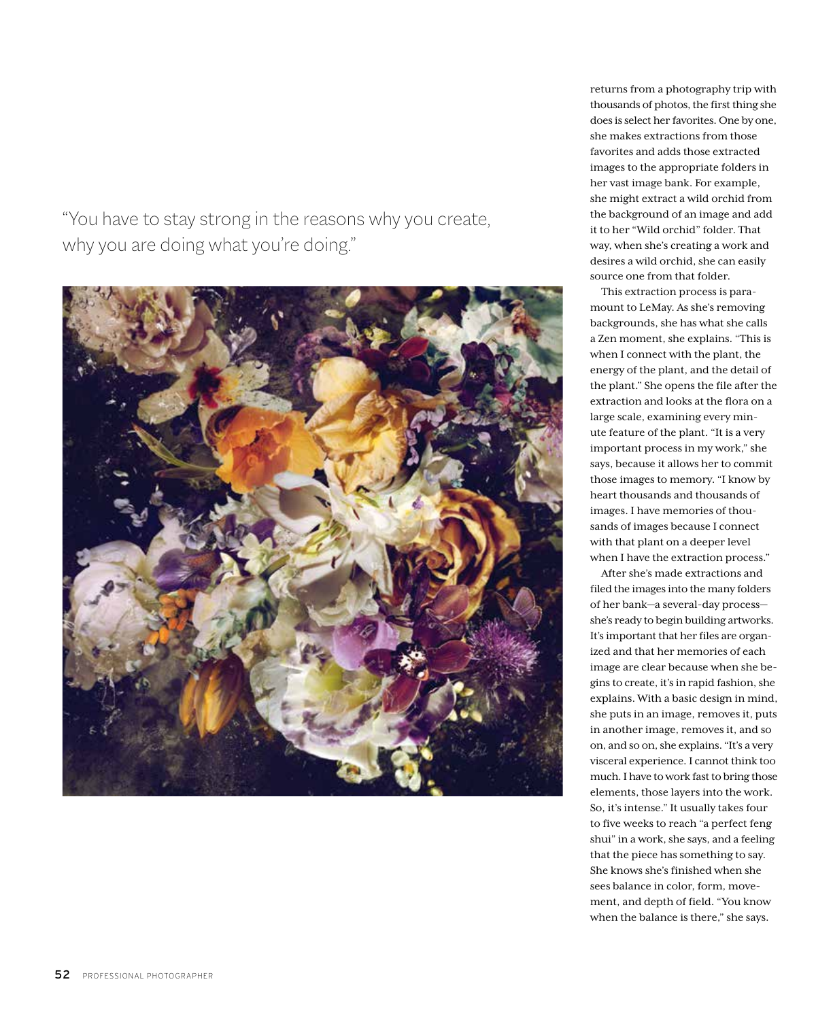"You have to stay strong in the reasons why you create, why you are doing what you're doing."



returns from a photography trip with thousands of photos, the first thing she does is select her favorites. One by one, she makes extractions from those favorites and adds those extracted images to the appropriate folders in her vast image bank. For example, she might extract a wild orchid from the background of an image and add it to her "Wild orchid" folder. That way, when she's creating a work and desires a wild orchid, she can easily source one from that folder.

 This extraction process is paramount to LeMay. As she's removing backgrounds, she has what she calls a Zen moment, she explains. "This is when I connect with the plant, the energy of the plant, and the detail of the plant." She opens the file after the extraction and looks at the flora on a large scale, examining every minute feature of the plant. "It is a very important process in my work," she says, because it allows her to commit those images to memory. "I know by heart thousands and thousands of images. I have memories of thousands of images because I connect with that plant on a deeper level when I have the extraction process."

 After she's made extractions and filed the images into the many folders of her bank—a several-day process she's ready to begin building artworks. It's important that her files are organized and that her memories of each image are clear because when she begins to create, it's in rapid fashion, she explains. With a basic design in mind, she puts in an image, removes it, puts in another image, removes it, and so on, and so on, she explains. "It's a very visceral experience. I cannot think too much. I have to work fast to bring those elements, those layers into the work. So, it's intense." It usually takes four to five weeks to reach "a perfect feng shui" in a work, she says, and a feeling that the piece has something to say. She knows she's finished when she sees balance in color, form, movement, and depth of field. "You know when the balance is there," she says.